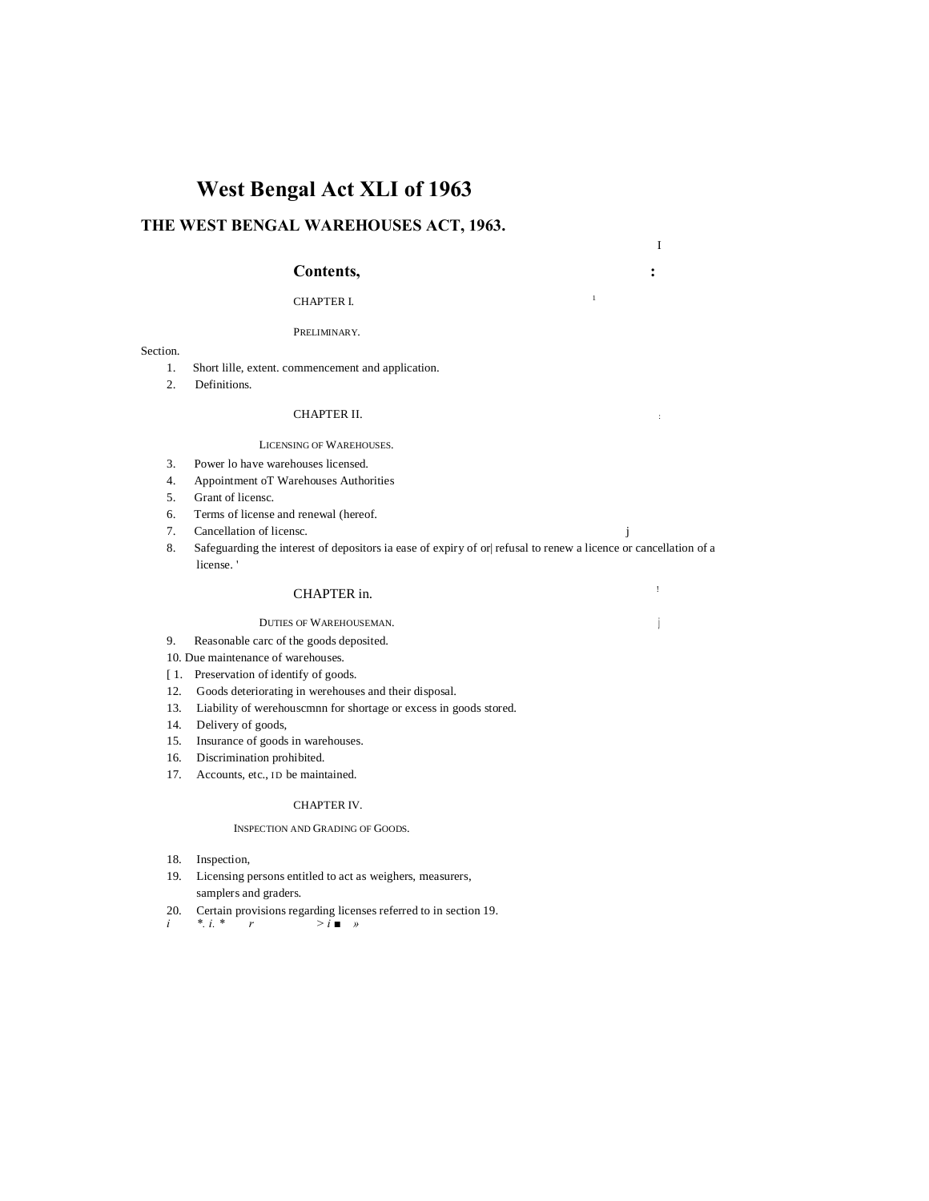# **West Bengal Act XLI of 1963**

# **THE WEST BENGAL WAREHOUSES ACT, 1963.**

## **Contents, :**

# CHAPTER I.

PRELIMINARY.

#### Section.

- 1. Short lille, extent. commencement and application.
- 2. Definitions.

### CHAPTER II.

#### LICENSING OF WAREHOUSES.

- 3. Power lo have warehouses licensed.
- 4. Appointment oT Warehouses Authorities
- 5. Grant of licensc.
- 6. Terms of license and renewal (hereof.
- 7. Cancellation of licensc.  $j$
- 8. Safeguarding the interest of depositors ia ease of expiry of or| refusal to renew a licence or cancellation of a license. '

I

# CHAPTER in.

## DUTIES OF WAREHOUSEMAN. **<sup>j</sup>**

- 9. Reasonable carc of the goods deposited.
- 10. Due maintenance of warehouses.
- [ 1. Preservation of identify of goods.
- 12. Goods deteriorating in werehouses and their disposal.
- 13. Liability of werehouscmnn for shortage or excess in goods stored.
- 14. Delivery of goods,
- 15. Insurance of goods in warehouses.
- 16. Discrimination prohibited.
- 17. Accounts, etc., ID be maintained.

#### CHAPTER IV.

#### INSPECTION AND GRADING OF GOODS.

- 18. Inspection,
- 19. Licensing persons entitled to act as weighers, measurers, samplers and graders.
- 20. Certain provisions regarding licenses referred to in section 19.<br>  $\begin{array}{ccc} i & * & i * \\ i & * & r \end{array}$  > i
- $\frac{1}{2}$  *i »*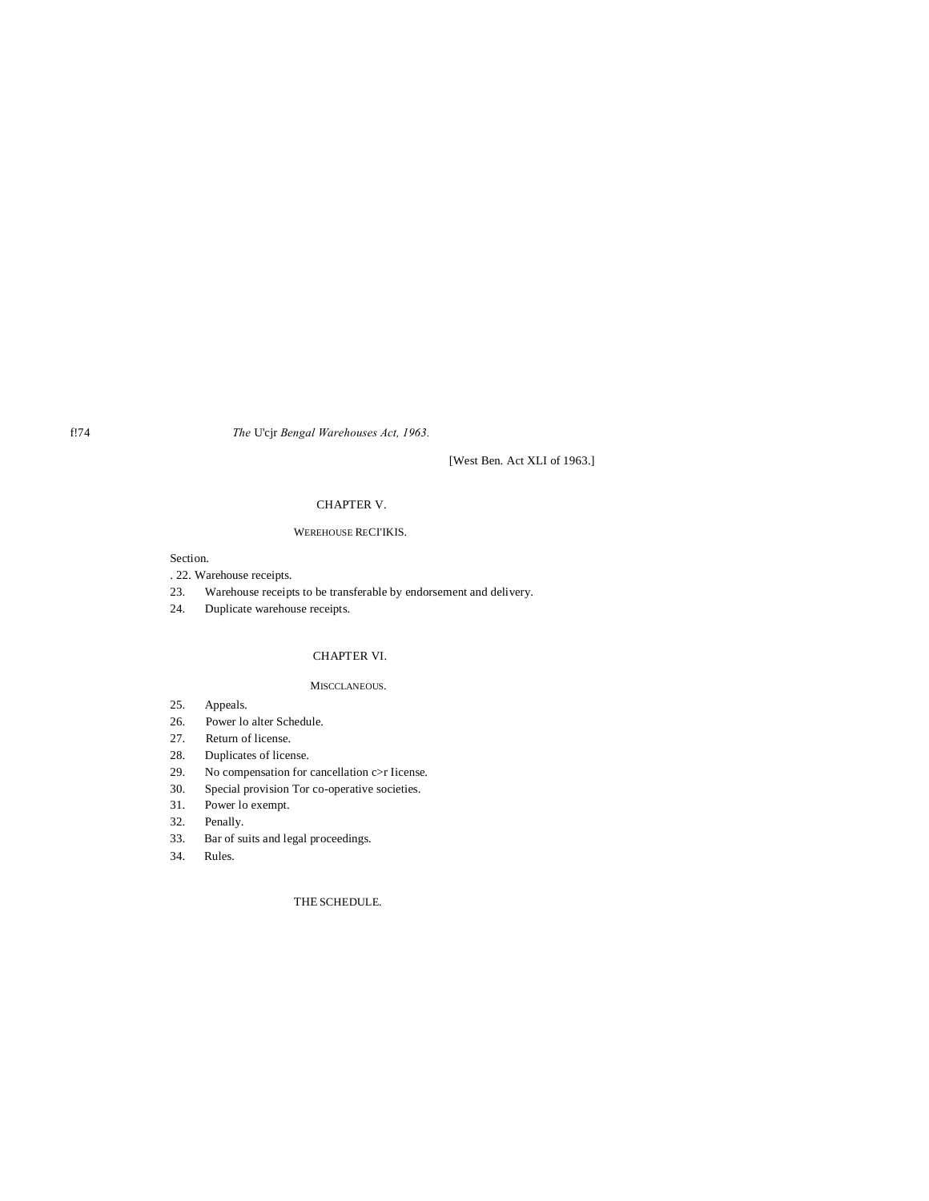f!74 *The* U'cjr *Bengal Warehouses Act, 1963.*

[West Ben. Act XLI of 1963.]

## CHAPTER V.

## WEREHOUSE RECI'IKIS.

## Section.

- . 22. Warehouse receipts.
- 23. Warehouse receipts to be transferable by endorsement and delivery.
- 24. Duplicate warehouse receipts.

## CHAPTER VI.

## MISCCLANEOUS.

- 25. Appeals.
- 26. Power lo alter Schedule.
- 27. Return of license.
- 28. Duplicates of license.
- 29. No compensation for cancellation c>r Iicense.
- 30. Special provision Tor co-operative societies.
- 31. Power lo exempt.
- 32. Penally.
- 33. Bar of suits and legal proceedings.
- 34. Rules.

THE SCHEDULE.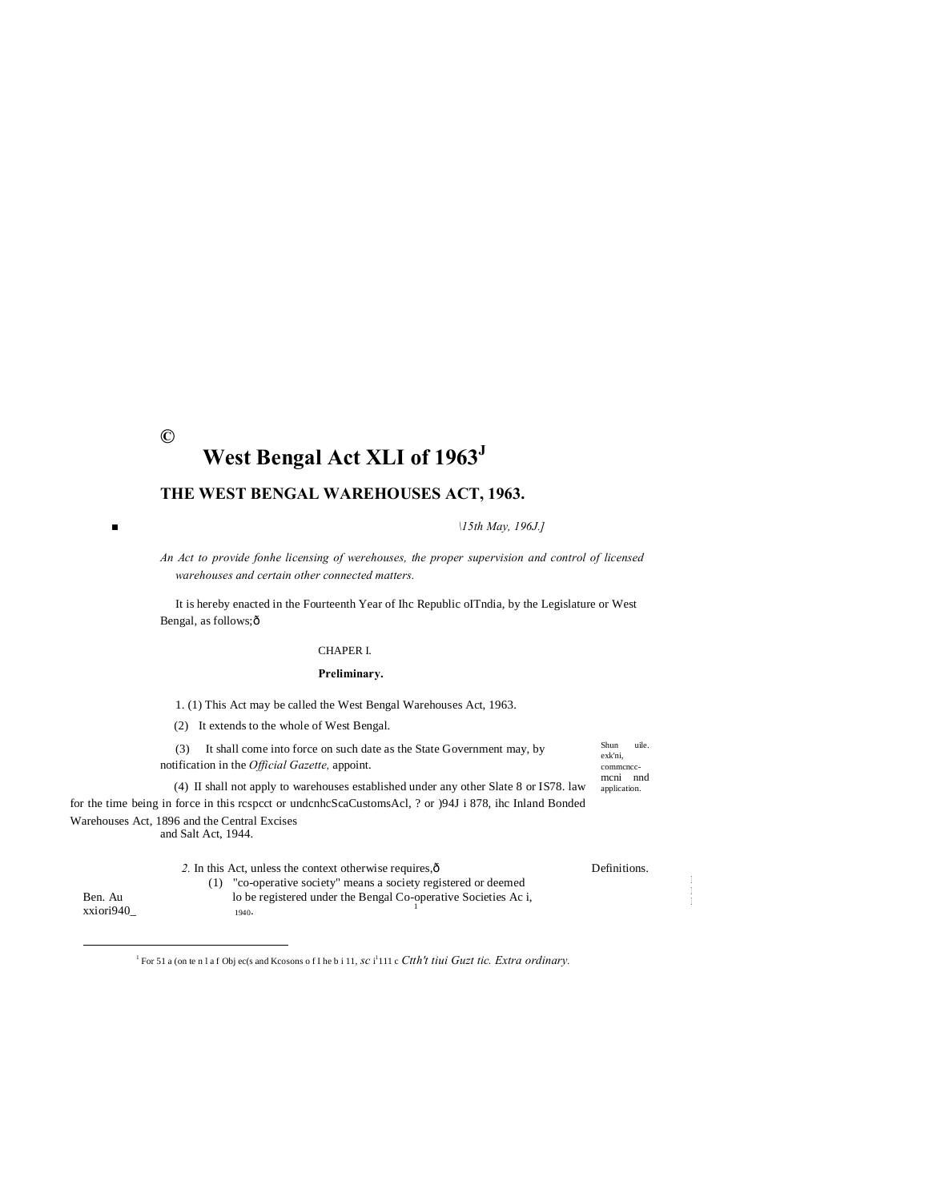# $\odot$ West Bengal Act XLI of 1963<sup>J</sup>

# THE WEST BENGAL WAREHOUSES ACT, 1963.

 $15th$  May, 196J.]

An Act to provide fonhe licensing of werehouses, the proper supervision and control of licensed warehouses and certain other connected matters.

It is hereby enacted in the Fourteenth Year of Ihc Republic ofTndia, by the Legislature or West Bengal, as follows; ô

## CHAPER I.

## Preliminary.

1. (1) This Act may be called the West Bengal Warehouses Act, 1963.

(2) It extends to the whole of West Bengal.

 $\blacksquare$ 

(3) It shall come into force on such date as the State Government may, by notification in the Official Gazette, appoint.

 $_{\rm Shun}$ uile. exk'ni. commence-<br>mcni nnd application.

(4) II shall not apply to warehouses established under any other Slate 8 or IS78. law for the time being in force in this respect or undenheScaCustomsAcl, ? or )94J i 878, ihe Inland Bonded Warehouses Act, 1896 and the Central Excises and Salt Act, 1944.

|                      | 2. In this Act, unless the context otherwise requires, $\hat{\text{o}}$ | Definitions. |
|----------------------|-------------------------------------------------------------------------|--------------|
| Ben. Au<br>xxiori940 | (1) "co-operative society" means a society registered or deemed         |              |
|                      | lo be registered under the Bengal Co-operative Societies Ac i,          |              |
|                      | 1940.                                                                   |              |
|                      |                                                                         |              |

<sup>1</sup> For 51 a (on te n l a f Obj ec(s and Kcosons o f I he b i 11, sc i<sup>1</sup>111 c Ctth't tiui Guzt tic. Extra ordinary.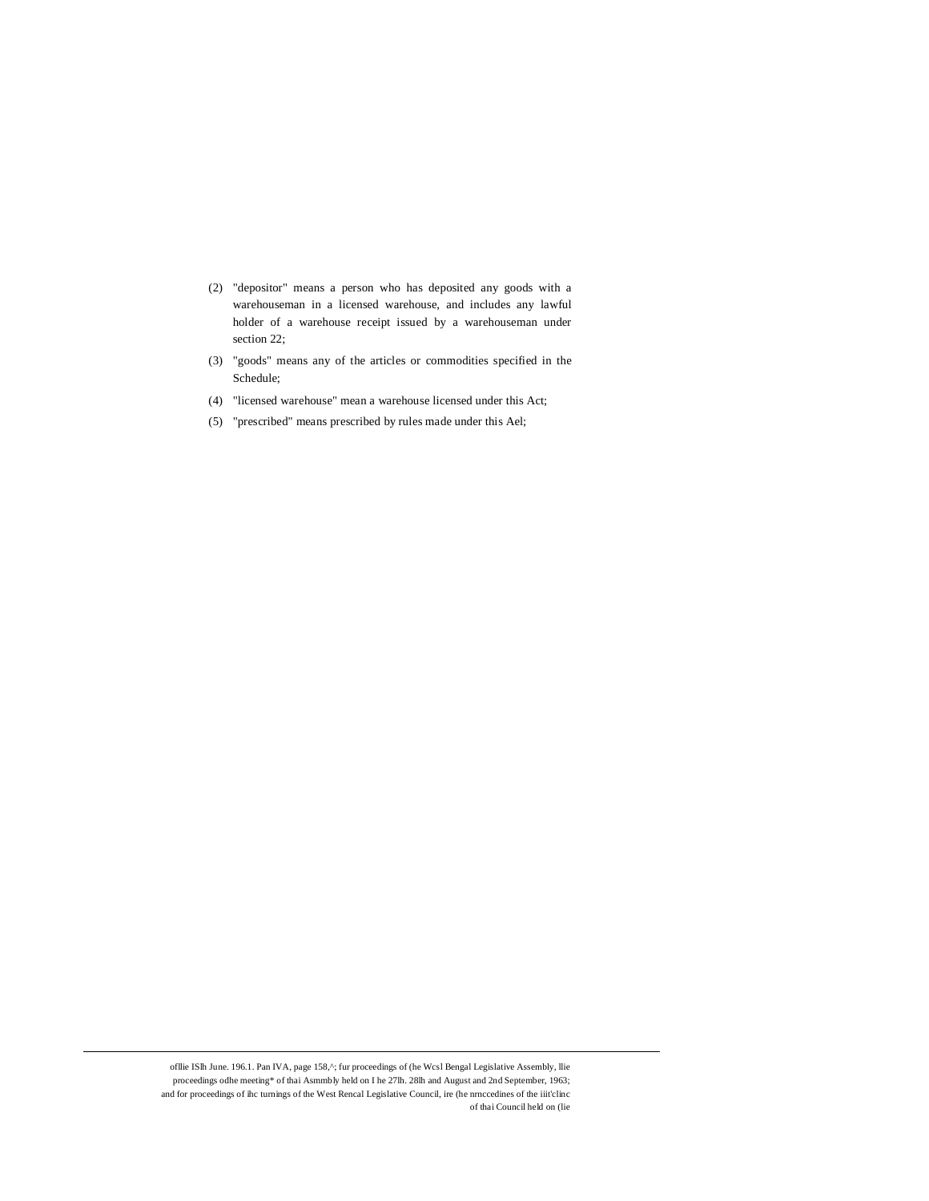- (2) "depositor" means a person who has deposited any goods with a warehouseman in a licensed warehouse, and includes any lawful holder of a warehouse receipt issued by a warehouseman under section 22;
- (3) "goods" means any of the articles or commodities specified in the Schedule;
- (4) "licensed warehouse" mean a warehouse licensed under this Act;
- (5) "prescribed" means prescribed by rules made under this Ael;

ofllie ISlh June. 196.1. Pan IVA, page 158,^; fur proceedings of (he Wcs1 Bengal Legislative Assembly, llie proceedings odhe meeting\* of thai Asmmbly held on I he 27lh. 28lh and August and 2nd September, 1963; and for proceedings of ihc turnings of the West Rencal Legislative Council, ire (he nrnccedines of the iiit'clinc of thai Council held on (lie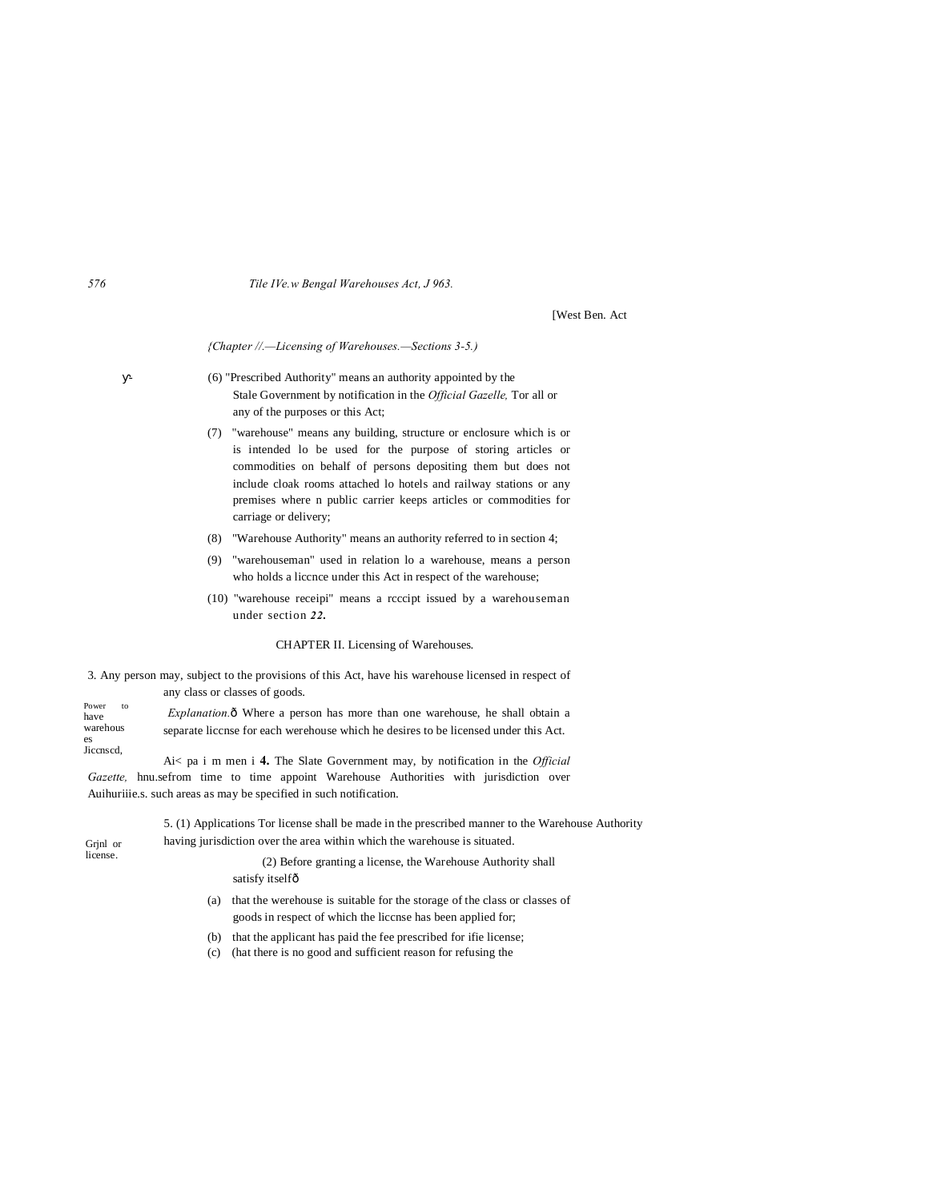*576 Tile IVe.w Bengal Warehouses Act, J 963.*

[West Ben. Act

*{Chapter //.—Licensing of Warehouses.—Sections 3-5.)*

- (6) "Prescribed Authority" means an authority appointed by the Stale Government by notification in the *Official Gazelle,* Tor all or any of the purposes or this Act;
- (7) "warehouse" means any building, structure or enclosure which is or is intended lo be used for the purpose of storing articles or commodities on behalf of persons depositing them but does not include cloak rooms attached lo hotels and railway stations or any premises where n public carrier keeps articles or commodities for carriage or delivery;
- (8) "Warehouse Authority" means an authority referred to in section 4;
- (9) "warehouseman" used in relation lo a warehouse, means a person who holds a liccnce under this Act in respect of the warehouse;
- (10) "warehouse receipi" means a rcccipt issued by a warehouseman under section *22.*

#### CHAPTER II. Licensing of Warehouses.

3. Any person may, subject to the provisions of this Act, have his warehouse licensed in respect of any class or classes of goods.

Power to have warehous es Jiccnscd, *Explanation.* $\delta$  Where a person has more than one warehouse, he shall obtain a separate liccnse for each werehouse which he desires to be licensed under this Act.

Ai< pa i m men i **4.** The Slate Government may, by notification in the *Official Gazette,* hnu.sefrom time to time appoint Warehouse Authorities with jurisdiction over Auihuriiie.s. such areas as may be specified in such notification.

Grjnl or license. 5. (1) Applications Tor license shall be made in the prescribed manner to the Warehouse Authority having jurisdiction over the area within which the warehouse is situated. (2) Before granting a license, the Warehouse Authority shall

satisfy itselfô

(a) that the werehouse is suitable for the storage of the class or classes of goods in respect of which the liccnse has been applied for;

(b) that the applicant has paid the fee prescribed for ifie license;

(c) (hat there is no good and sufficient reason for refusing the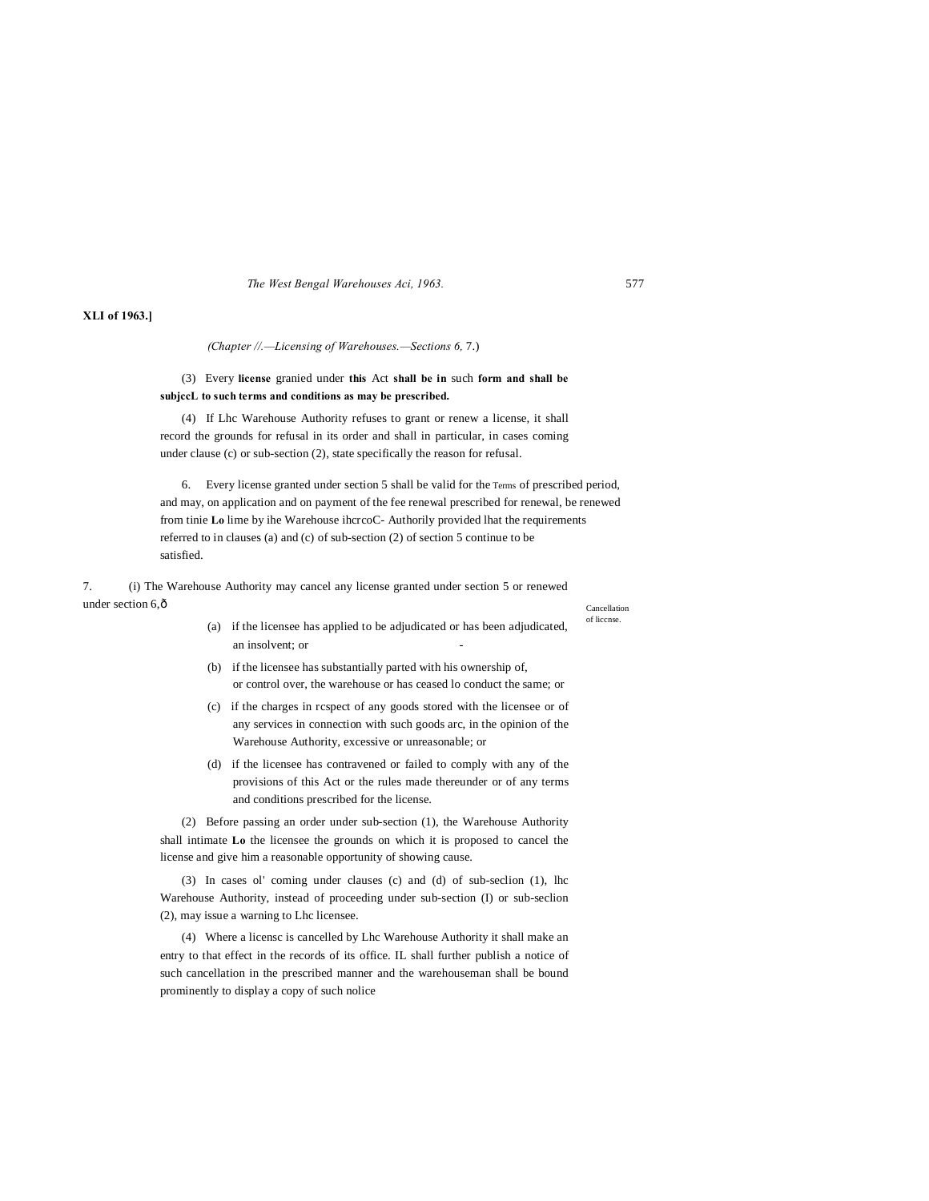*The West Bengal Warehouses Aci, 1963.* 577

## **XLI of 1963.]**

*(Chapter //.—Licensing of Warehouses.—Sections 6,* 7.)

(3) Every **license** granied under **this** Act **shall be in** such **form and shall be subjccL to such terms and conditions as may be prescribed.**

(4) If Lhc Warehouse Authority refuses to grant or renew a license, it shall record the grounds for refusal in its order and shall in particular, in cases coming under clause (c) or sub-section (2), state specifically the reason for refusal.

6. Every license granted under section 5 shall be valid for the Terms of prescribed period, and may, on application and on payment of the fee renewal prescribed for renewal, be renewed from tinie **Lo** lime by ihe Warehouse ihcrcoC- Authorily provided lhat the requirements referred to in clauses (a) and (c) of sub-section (2) of section 5 continue to be satisfied.

7. (i) The Warehouse Authority may cancel any license granted under section 5 or renewed under section 6, ô

Cancellation of liccnse.

- (a) if the licensee has applied to be adjudicated or has been adjudicated, an insolvent; or
- (b) if the licensee has substantially parted with his ownership of, or control over, the warehouse or has ceased lo conduct the same; or
- (c) if the charges in rcspect of any goods stored with the licensee or of any services in connection with such goods arc, in the opinion of the Warehouse Authority, excessive or unreasonable; or
- (d) if the licensee has contravened or failed to comply with any of the provisions of this Act or the rules made thereunder or of any terms and conditions prescribed for the license.

(2) Before passing an order under sub-section (1), the Warehouse Authority shall intimate **Lo** the licensee the grounds on which it is proposed to cancel the license and give him a reasonable opportunity of showing cause.

(3) In cases ol' coming under clauses (c) and (d) of sub-seclion (1), lhc Warehouse Authority, instead of proceeding under sub-section (I) or sub-seclion (2), may issue a warning to Lhc licensee.

(4) Where a licensc is cancelled by Lhc Warehouse Authority it shall make an entry to that effect in the records of its office. IL shall further publish a notice of such cancellation in the prescribed manner and the warehouseman shall be bound prominently to display a copy of such nolice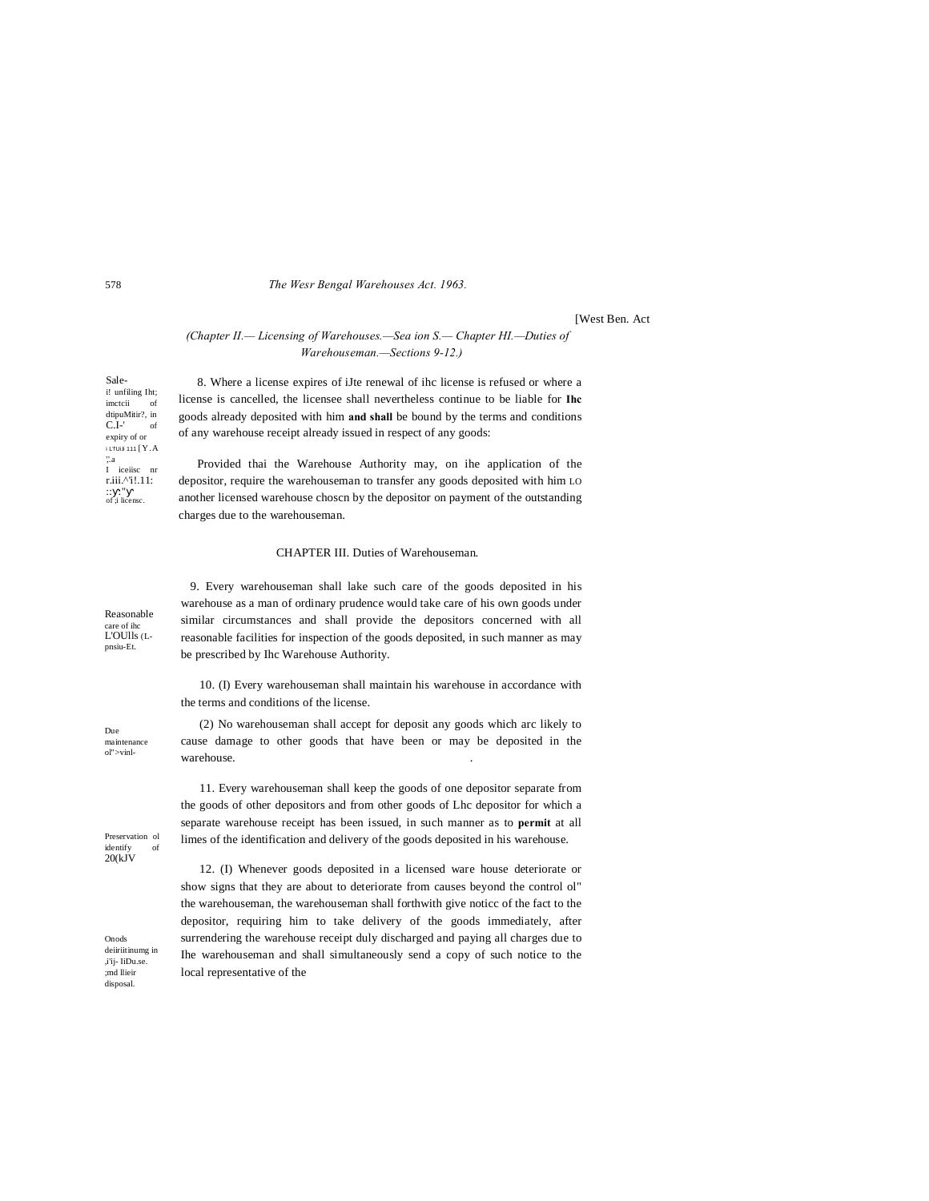#### The Wesr Bengal Warehouses Act. 1963.

**IWest Ben. Act** 

(Chapter II.-Licensing of Warehouses.-Sea ion S.- Chapter HI.-Duties of Warehouseman.-Sections 9-12.)

8. Where a license expires of iJte renewal of ihc license is refused or where a license is cancelled, the licensee shall nevertheless continue to be liable for Ihc goods already deposited with him and shall be bound by the terms and conditions of any warehouse receipt already issued in respect of any goods:

Provided thai the Warehouse Authority may, on ihe application of the depositor, require the warehouseman to transfer any goods deposited with him LO another licensed warehouse chosen by the depositor on payment of the outstanding charges due to the warehouseman.

#### CHAPTER III. Duties of Warehouseman.

9. Every warehouseman shall lake such care of the goods deposited in his warehouse as a man of ordinary prudence would take care of his own goods under Reasonable similar circumstances and shall provide the depositors concerned with all L'OUlls (Lreasonable facilities for inspection of the goods deposited, in such manner as may be prescribed by Ihc Warehouse Authority.

> 10. (I) Every warehouseman shall maintain his warehouse in accordance with the terms and conditions of the license.

(2) No warehouseman shall accept for deposit any goods which arc likely to cause damage to other goods that have been or may be deposited in the maintenance warehouse.

> 11. Every warehouseman shall keep the goods of one depositor separate from the goods of other depositors and from other goods of Lhc depositor for which a separate warehouse receipt has been issued, in such manner as to permit at all limes of the identification and delivery of the goods deposited in his warehouse.

> 12. (I) Whenever goods deposited in a licensed ware house deteriorate or show signs that they are about to deteriorate from causes beyond the control ol" the warehouseman, the warehouseman shall forthwith give notice of the fact to the depositor, requiring him to take delivery of the goods immediately, after surrendering the warehouse receipt duly discharged and paying all charges due to Ihe warehouseman and shall simultaneously send a copy of such notice to the local representative of the

Salei! unfiling Iht; imeteii of dtipuMitir?, in<br> $C.I$ -' of expiry of or i LTUIJI 111 [Y.A  $"$ .a I iceiisc nr r.iii.^'i!.11:  $\begin{array}{ll} \ldots & \ldots \\ \text{of } \vdots \text{ license} \end{array}$ 

care of ihc

pnsiu-Et.

**Due** 

ol">vinl-

Preservation ol identify<br>20(kJV of

Onods deiiriitinumg in ,i'ij- IiDu.se. md llieir disposal.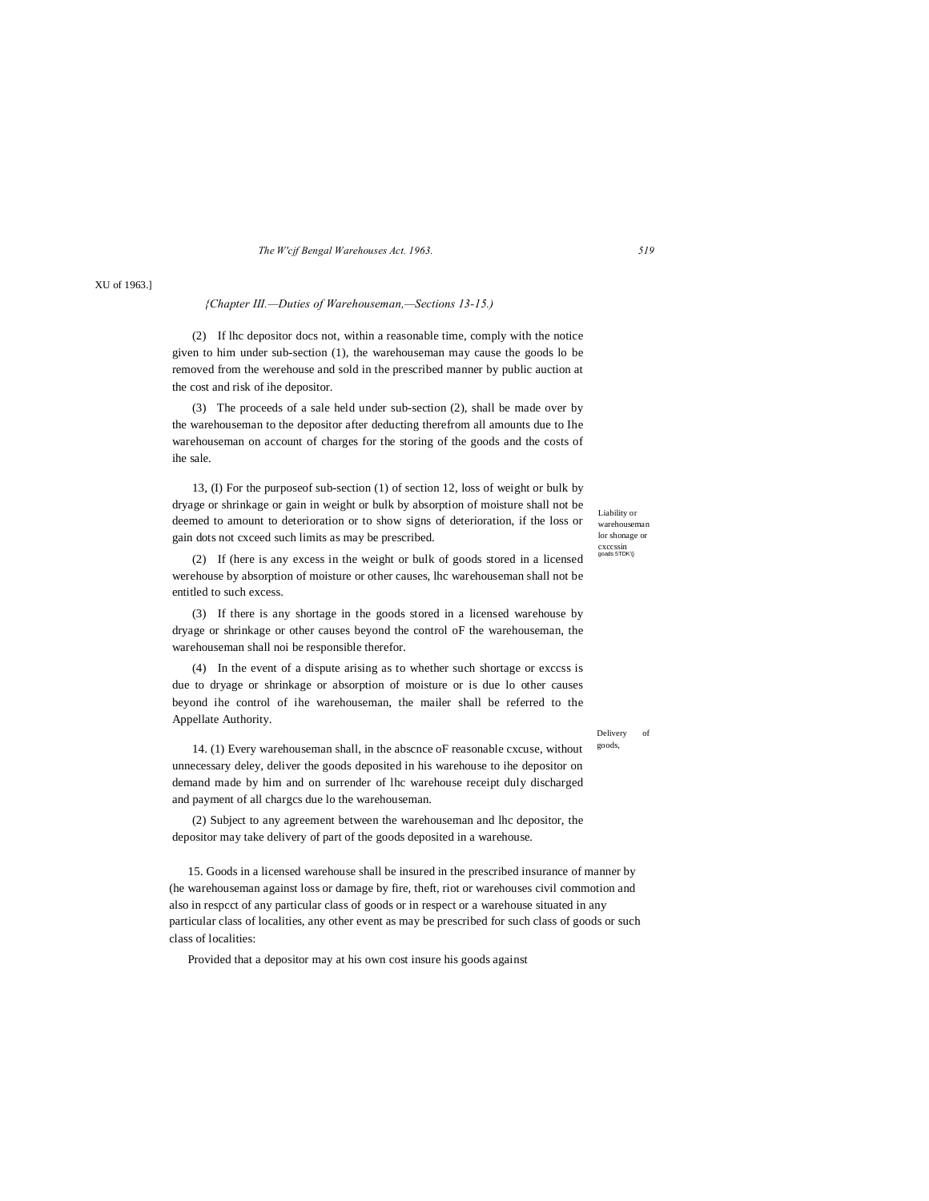*The W'cjf Bengal Warehouses Act. 1963. 519*

## *{Chapter III.—Duties of Warehouseman,—Sections 13-15.)*

(2) If lhc depositor docs not, within a reasonable time, comply with the notice given to him under sub-section (1), the warehouseman may cause the goods lo be removed from the werehouse and sold in the prescribed manner by public auction at the cost and risk of ihe depositor.

(3) The proceeds of a sale held under sub-section (2), shall be made over by the warehouseman to the depositor after deducting therefrom all amounts due to Ihe warehouseman on account of charges for the storing of the goods and the costs of ihe sale.

13, (I) For the purposeof sub-section (1) of section 12, loss of weight or bulk by dryage or shrinkage or gain in weight or bulk by absorption of moisture shall not be deemed to amount to deterioration or to show signs of deterioration, if the loss or gain dots not cxceed such limits as may be prescribed.

(2) If (here is any excess in the weight or bulk of goods stored in a licensed werehouse by absorption of moisture or other causes, lhc warehouseman shall not be entitled to such excess.

(3) If there is any shortage in the goods stored in a licensed warehouse by dryage or shrinkage or other causes beyond the control oF the warehouseman, the warehouseman shall noi be responsible therefor.

(4) In the event of a dispute arising as to whether such shortage or exccss is due to dryage or shrinkage or absorption of moisture or is due lo other causes beyond ihe control of ihe warehouseman, the mailer shall be referred to the Appellate Authority.

Liability or warehouseman lor shonage or cxccssin goads 5TDK'(j

Delivery of goods,

14. (1) Every warehouseman shall, in the abscnce oF reasonable cxcuse, without unnecessary deley, deliver the goods deposited in his warehouse to ihe depositor on demand made by him and on surrender of lhc warehouse receipt duly discharged and payment of all chargcs due lo the warehouseman.

(2) Subject to any agreement between the warehouseman and lhc depositor, the depositor may take delivery of part of the goods deposited in a warehouse.

15. Goods in a licensed warehouse shall be insured in the prescribed insurance of manner by (he warehouseman against loss or damage by fire, theft, riot or warehouses civil commotion and also in respcct of any particular class of goods or in respect or a warehouse situated in any particular class of localities, any other event as may be prescribed for such class of goods or such class of localities:

Provided that a depositor may at his own cost insure his goods against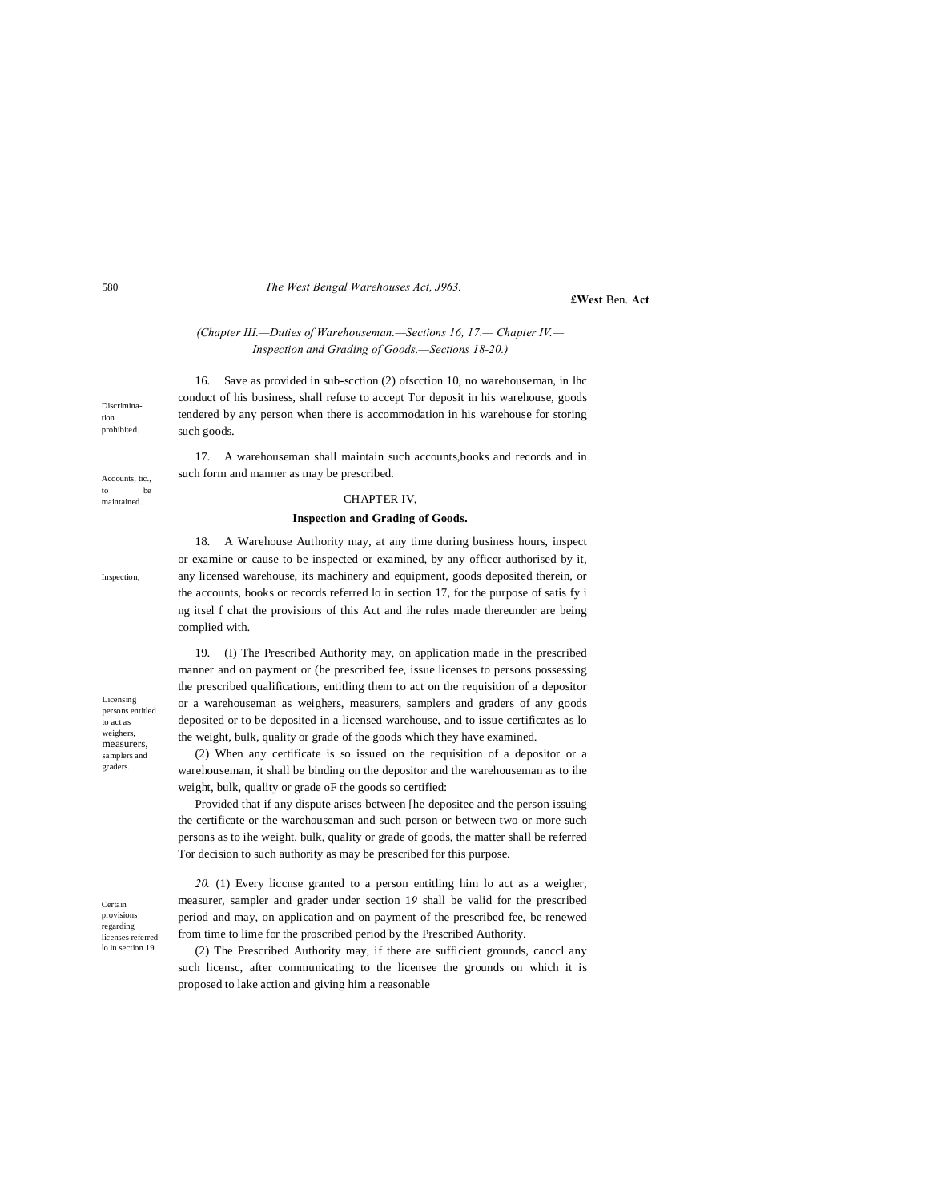#### *The West Bengal Warehouses Act, J963.*

## **£West** Ben. **Act**

## *(Chapter III.—Duties of Warehouseman.—Sections 16, 17.— Chapter IV.— Inspection and Grading of Goods.—Sections 18-20.)*

16. Save as provided in sub-scction (2) ofscction 10, no warehouseman, in lhc conduct of his business, shall refuse to accept Tor deposit in his warehouse, goods tendered by any person when there is accommodation in his warehouse for storing such goods.

17. A warehouseman shall maintain such accounts,books and records and in such form and manner as may be prescribed.

### CHAPTER IV,

## **Inspection and Grading of Goods.**

18. A Warehouse Authority may, at any time during business hours, inspect or examine or cause to be inspected or examined, by any officer authorised by it, any licensed warehouse, its machinery and equipment, goods deposited therein, or the accounts, books or records referred lo in section 17, for the purpose of satis fy i ng itsel f chat the provisions of this Act and ihe rules made thereunder are being complied with.

Licensing persons entitled to act as weighers, measurers, samplers and graders.

19. (I) The Prescribed Authority may, on application made in the prescribed manner and on payment or (he prescribed fee, issue licenses to persons possessing the prescribed qualifications, entitling them to act on the requisition of a depositor or a warehouseman as weighers, measurers, samplers and graders of any goods deposited or to be deposited in a licensed warehouse, and to issue certificates as lo the weight, bulk, quality or grade of the goods which they have examined.

(2) When any certificate is so issued on the requisition of a depositor or a warehouseman, it shall be binding on the depositor and the warehouseman as to ihe weight, bulk, quality or grade oF the goods so certified:

Provided that if any dispute arises between [he depositee and the person issuing the certificate or the warehouseman and such person or between two or more such persons as to ihe weight, bulk, quality or grade of goods, the matter shall be referred Tor decision to such authority as may be prescribed for this purpose.

Certain provisions regarding licenses referred lo in section 19.

*20.* (1) Every liccnse granted to a person entitling him lo act as a weigher, measurer, sampler and grader under section 1*9* shall be valid for the prescribed period and may, on application and on payment of the prescribed fee, be renewed from time to lime for the proscribed period by the Prescribed Authority.

(2) The Prescribed Authority may, if there are sufficient grounds, canccl any such licensc, after communicating to the licensee the grounds on which it is proposed to lake action and giving him a reasonable

Discrimination prohibited.

Accounts, tic., to be maintained.

Inspection,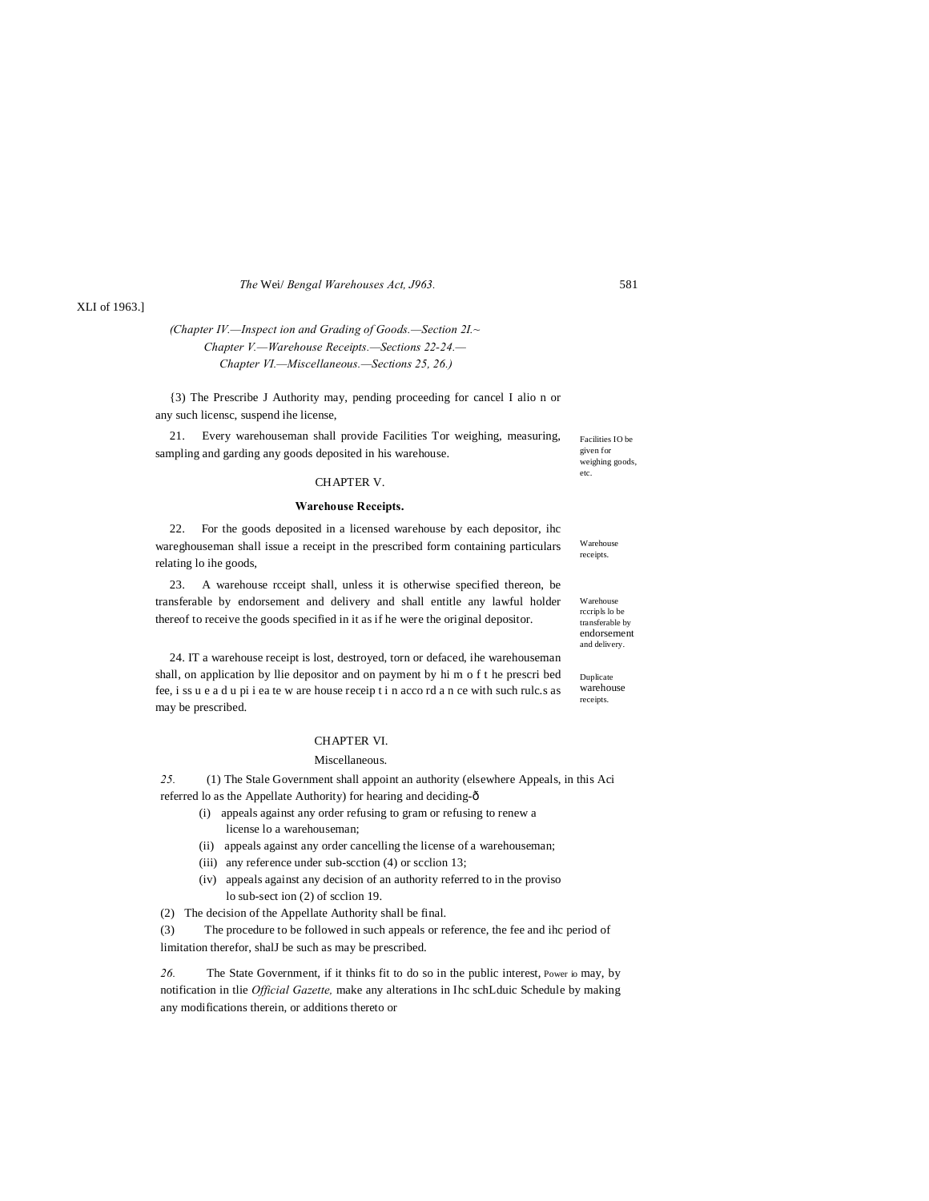*The* Wei/ *Bengal Warehouses Act, J963.* 581

## XLI of 1963.]

## *(Chapter IV.—Inspect ion and Grading of Goods.—Section 2I.~ Chapter V.—Warehouse Receipts.—Sections 22-24.— Chapter VI.—Miscellaneous.—Sections 25, 26.)*

{3) The Prescribe J Authority may, pending proceeding for cancel I alio n or any such licensc, suspend ihe license,

21. Every warehouseman shall provide Facilities Tor weighing, measuring, sampling and garding any goods deposited in his warehouse.

## CHAPTER V.

#### **Warehouse Receipts.**

22. For the goods deposited in a licensed warehouse by each depositor, ihc wareghouseman shall issue a receipt in the prescribed form containing particulars relating lo ihe goods,

23. A warehouse rcceipt shall, unless it is otherwise specified thereon, be transferable by endorsement and delivery and shall entitle any lawful holder thereof to receive the goods specified in it as if he were the original depositor.

24. IT a warehouse receipt is lost, destroyed, torn or defaced, ihe warehouseman shall, on application by llie depositor and on payment by hi m o f t he prescri bed fee, i ss u e a d u pi i ea te w are house receip t i n acco rd a n ce with such rulc.s as may be prescribed.

## CHAPTER VI.

#### Miscellaneous.

*25.* (1) The Stale Government shall appoint an authority (elsewhere Appeals, in this Aci

- referred lo as the Appellate Authority) for hearing and deciding- $\delta$ 
	- (i) appeals against any order refusing to gram or refusing to renew a license lo a warehouseman;
	- (ii) appeals against any order cancelling the license of a warehouseman;
	- (iii) any reference under sub-scction (4) or scclion 13;
	- (iv) appeals against any decision of an authority referred to in the proviso lo sub-sect ion (2) of scclion 19.
- (2) The decision of the Appellate Authority shall be final.

(3) The procedure to be followed in such appeals or reference, the fee and ihc period of limitation therefor, shalJ be such as may be prescribed.

26. The State Government, if it thinks fit to do so in the public interest, Power io may, by notification in tlie *Official Gazette,* make any alterations in Ihc schLduic Schedule by making any modifications therein, or additions thereto or

Facilities IO be given for weighing goods etc.

Warehouse receipts.

Warehouse rccripls lo be transferable by endorsement and delivery.

Duplicate warehouse receipts.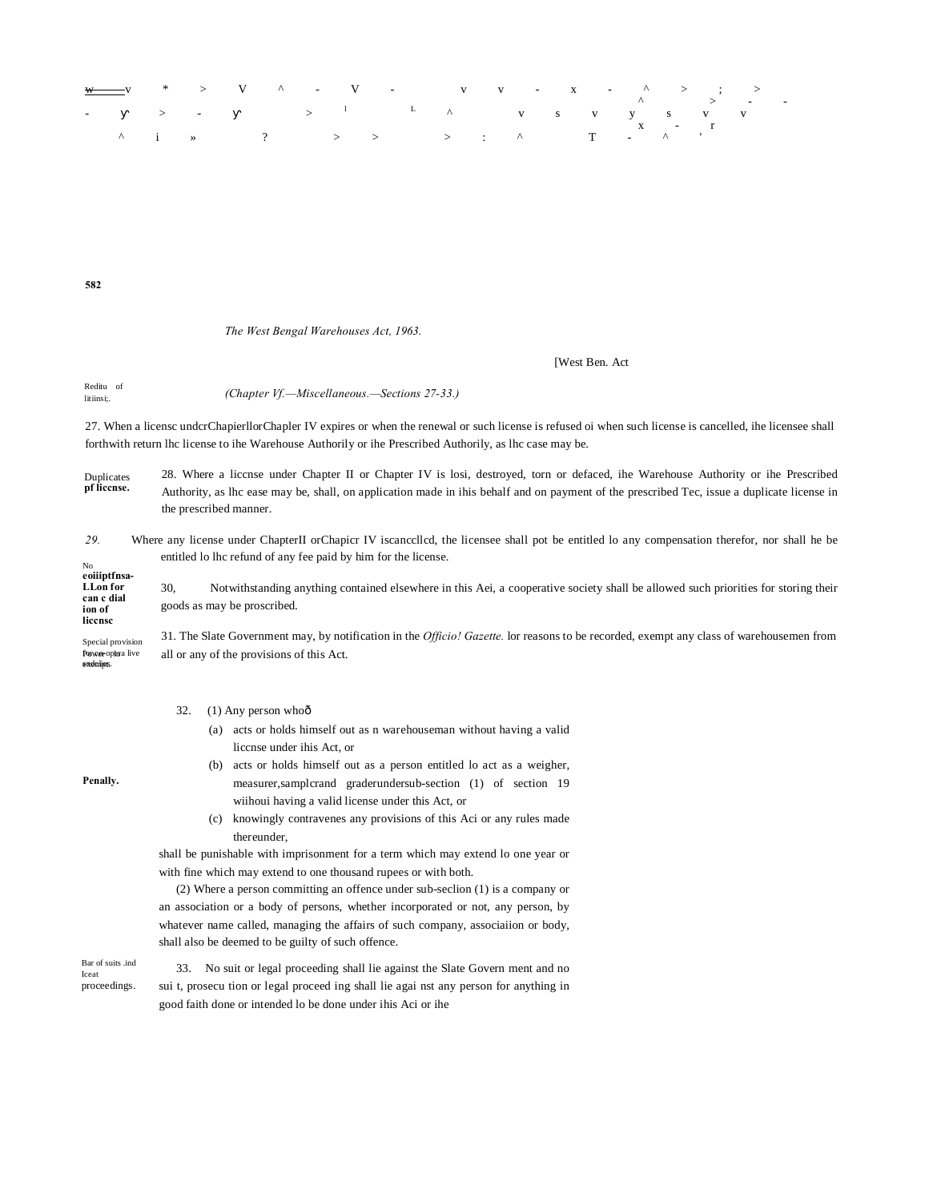

**582**

## *The West Bengal Warehouses Act, 1963.*

#### [West Ben. Act

Reditu of litiinsi;. *(Chapter Vf.—Miscellaneous.—Sections 27-33.)*

27. When a licensc undcrChapierllorChapler IV expires or when the renewal or such license is refused oi when such license is cancelled, ihe licensee shall forthwith return lhc license to ihe Warehouse Authorily or ihe Prescribed Authorily, as lhc case may be.

Duplicates **pf liccnse.** 28. Where a liccnse under Chapter II or Chapter IV is losi, destroyed, torn or defaced, ihe Warehouse Authority or ihe Prescribed Authority, as lhc ease may be, shall, on application made in ihis behalf and on payment of the prescribed Tec, issue a duplicate license in the prescribed manner.

#### No *29.* Where any license under ChapterII orChapicr IV iscanccllcd, the licensee shall pot be entitled lo any compensation therefor, nor shall he be entitled lo lhc refund of any fee paid by him for the license.

**eoiiiptfnsa-LLon for can c dial ion of liccnsc** 30, Notwithstanding anything contained elsewhere in this Aei, a cooperative society shall be allowed such priorities for storing their goods as may be proscribed.

Special provision forwer opera live endeligs. 31. The Slate Government may, by notification in the *Officio! Gazette.* lor reasons to be recorded, exempt any class of warehousemen from all or any of the provisions of this Act.

#### 32.  $(1)$  Any person who $\hat{0}$

- (a) acts or holds himself out as n warehouseman without having a valid liccnse under ihis Act, or
- (b) acts or holds himself out as a person entitled lo act as a weigher, measurer,samplcrand graderundersub-section (1) of section 19 wiihoui having a valid license under this Act, or
- (c) knowingly contravenes any provisions of this Aci or any rules made thereunder,

shall be punishable with imprisonment for a term which may extend lo one year or with fine which may extend to one thousand rupees or with both.

(2) Where a person committing an offence under sub-seclion (1) is a company or an association or a body of persons, whether incorporated or not, any person, by whatever name called, managing the affairs of such company, associaiion or body, shall also be deemed to be guilty of such offence.

Bar of suits .ind Iceat proceedings.

**Penally.**

33. No suit or legal proceeding shall lie against the Slate Govern ment and no sui t, prosecu tion or legal proceed ing shall lie agai nst any person for anything in good faith done or intended lo be done under ihis Aci or ihe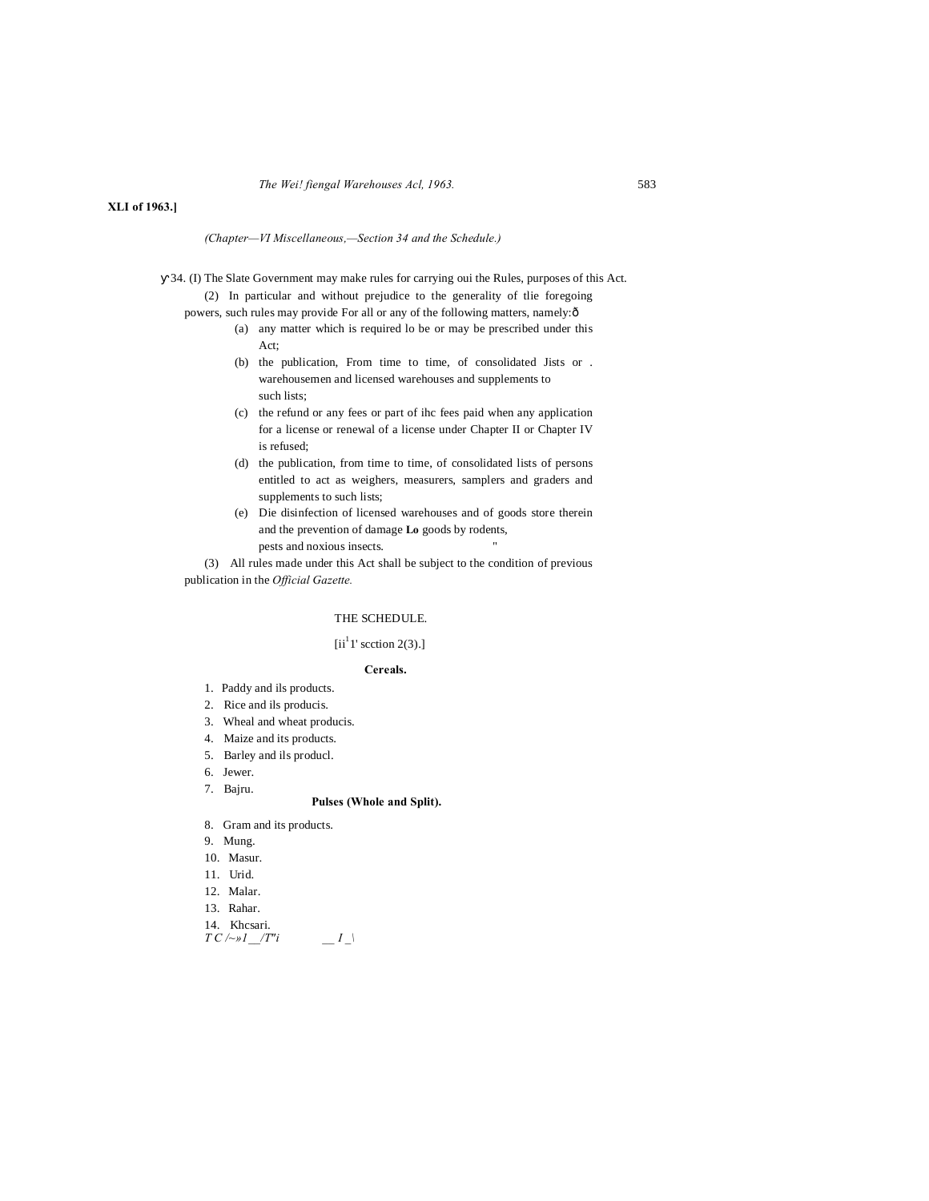#### *The Wei! fiengal Warehouses Acl, 1963.* 583

## **XLI of 1963.]**

#### *(Chapter—VI Miscellaneous,—Section 34 and the Schedule.)*

34. (I) The Slate Government may make rules for carrying oui the Rules, purposes of this Act. (2) In particular and without prejudice to the generality of tlie foregoing

- powers, such rules may provide For all or any of the following matters, namely:—
	- (a) any matter which is required lo be or may be prescribed under this Act;
	- (b) the publication, From time to time, of consolidated Jists or . warehousemen and licensed warehouses and supplements to such lists;
	- (c) the refund or any fees or part of ihc fees paid when any application for a license or renewal of a license under Chapter II or Chapter IV is refused;
	- (d) the publication, from time to time, of consolidated lists of persons entitled to act as weighers, measurers, samplers and graders and supplements to such lists;
	- (e) Die disinfection of licensed warehouses and of goods store therein and the prevention of damage **Lo** goods by rodents, pests and noxious insects.

(3) All rules made under this Act shall be subject to the condition of previous publication in the *Official Gazette.*

## THE SCHEDULE.

## $[ii<sup>1</sup>1' section 2(3).]$

### **Cereals.**

- 1. Paddy and ils products.
- 2. Rice and ils producis.
- 3. Wheal and wheat producis.
- 4. Maize and its products.
- 5. Barley and ils producl.
- 6. Jewer.

#### 7. Bajru.

## **Pulses (Whole and Split).**

- 8. Gram and its products.
- 9. Mung.
- 10. Masur.
- 11. Urid.
- 12. Malar.
- 13. Rahar.
- 14. Khcsari.

*T C /~»1\_\_/T"i \_\_ I \_\*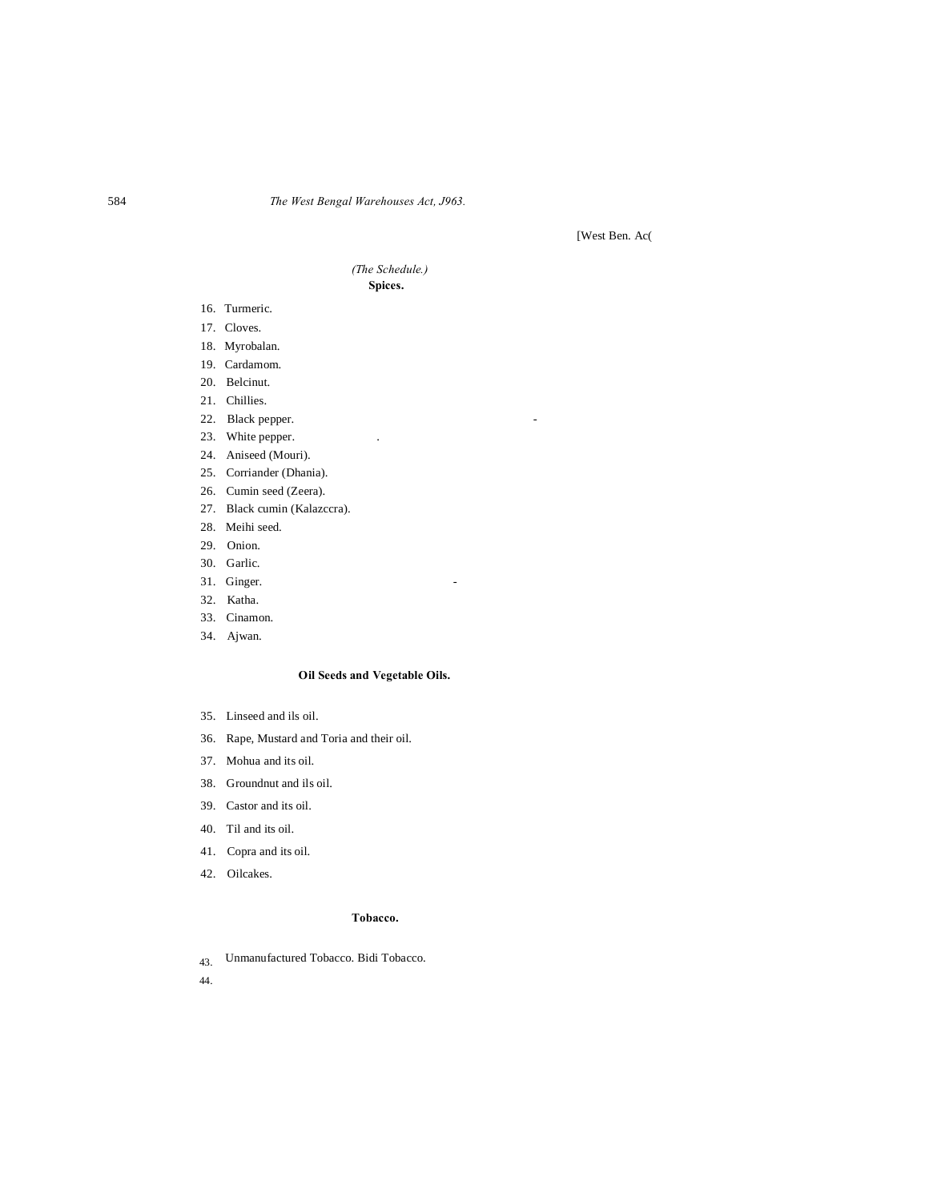# 584 *The West Bengal Warehouses Act, J963.*

[West Ben. Ac(

## *(The Schedule.)* **Spices.**

- 16. Turmeric.
- 17. Cloves.
- 18. Myrobalan.
- 19. Cardamom.
- 20. Belcinut.
- 21. Chillies.
- 22. Black pepper.
- 23. White pepper.
- 24. Aniseed (Mouri).
- 25. Corriander (Dhania).
- 26. Cumin seed (Zeera).
- 27. Black cumin (Kalazccra).
- 28. Meihi seed.
- 29. Onion.
- 30. Garlic.
- 31. Ginger.
- 32. Katha.
- 33. Cinamon.
- 34. Ajwan.

# **Oil Seeds and Vegetable Oils.**

- 35. Linseed and ils oil.
- 36. Rape, Mustard and Toria and their oil.
- 37. Mohua and its oil.
- 38. Groundnut and ils oil.
- 39. Castor and its oil.
- 40. Til and its oil.
- 41. Copra and its oil.
- 42. Oilcakes.

## **Tobacco.**

43. Unmanufactured Tobacco. Bidi Tobacco.

44.